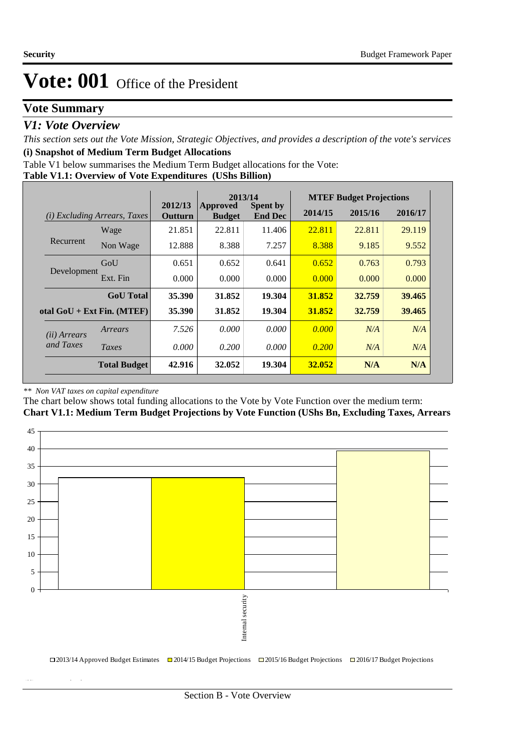# **Vote Summary**

### *V1: Vote Overview*

*This section sets out the Vote Mission, Strategic Objectives, and provides a description of the vote's services* **(i) Snapshot of Medium Term Budget Allocations** 

Table V1 below summarises the Medium Term Budget allocations for the Vote:

|  |  | Table V1.1: Overview of Vote Expenditures (UShs Billion) |
|--|--|----------------------------------------------------------|
|  |  |                                                          |

|                       |                              |                    | 2013/14                   |                                   | <b>MTEF Budget Projections</b> |         |         |
|-----------------------|------------------------------|--------------------|---------------------------|-----------------------------------|--------------------------------|---------|---------|
| (i)                   | Excluding Arrears, Taxes     | 2012/13<br>Outturn | Approved<br><b>Budget</b> | <b>Spent by</b><br><b>End Dec</b> | 2014/15                        | 2015/16 | 2016/17 |
|                       | Wage                         | 21.851             | 22.811                    | 11.406                            | 22.811                         | 22.811  | 29.119  |
| Recurrent             | Non Wage                     | 12.888             | 8.388                     | 7.257                             | 8.388                          | 9.185   | 9.552   |
|                       | GoU                          | 0.651              | 0.652                     | 0.641                             | 0.652                          | 0.763   | 0.793   |
| Development           | Ext. Fin                     | 0.000              | 0.000                     | 0.000                             | 0.000                          | 0.000   | 0.000   |
|                       | <b>GoU</b> Total             | 35.390             | 31.852                    | 19.304                            | 31.852                         | 32.759  | 39.465  |
|                       | otal $GoU + Ext Fin. (MTEF)$ | 35.390             | 31.852                    | 19.304                            | 31.852                         | 32.759  | 39.465  |
| ( <i>ii</i> ) Arrears | Arrears                      | 7.526              | 0.000                     | 0.000                             | 0.000                          | N/A     | N/A     |
| and Taxes             | Taxes                        | 0.000              | 0.200                     | 0.000                             | 0.200                          | N/A     | N/A     |
|                       | <b>Total Budget</b>          | 42.916             | 32.052                    | 19.304                            | 32.052                         | N/A     | N/A     |

#### *\*\* Non VAT taxes on capital expenditure*

**(ii) Vote Mission Statement**

The chart below shows total funding allocations to the Vote by Vote Function over the medium term:

**Chart V1.1: Medium Term Budget Projections by Vote Function (UShs Bn, Excluding Taxes, Arrears**

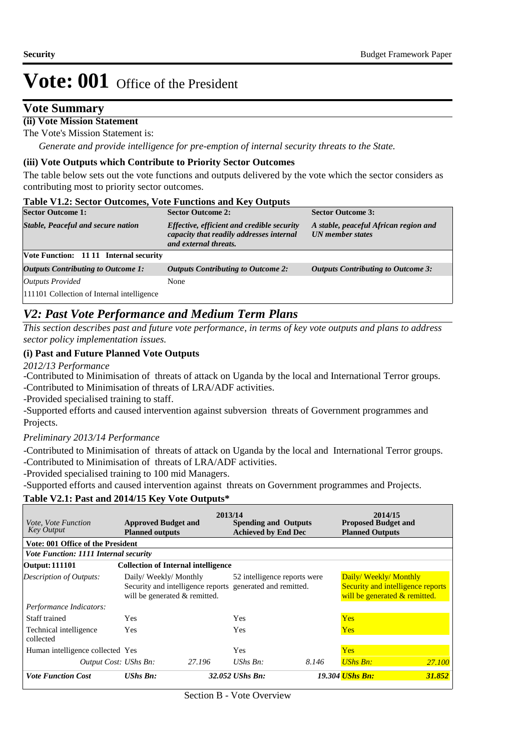### **Vote Summary**

#### **(ii) Vote Mission Statement**

The Vote's Mission Statement is:

*Generate and provide intelligence for pre-emption of internal security threats to the State.*

#### **(iii) Vote Outputs which Contribute to Priority Sector Outcomes**

The table below sets out the vote functions and outputs delivered by the vote which the sector considers as contributing most to priority sector outcomes.

#### **Table V1.2: Sector Outcomes, Vote Functions and Key Outputs**

| <b>Sector Outcome 1:</b>                      | <b>Sector Outcome 2:</b>                                                                                        | <b>Sector Outcome 3:</b>                                         |
|-----------------------------------------------|-----------------------------------------------------------------------------------------------------------------|------------------------------------------------------------------|
| <b>Stable, Peaceful and secure nation</b>     | Effective, efficient and credible security<br>capacity that readily addresses internal<br>and external threats. | A stable, peaceful African region and<br><b>UN</b> member states |
| <b>Vote Function: 11 11 Internal security</b> |                                                                                                                 |                                                                  |
| <b>Outputs Contributing to Outcome 1:</b>     | <b>Outputs Contributing to Outcome 2:</b>                                                                       | <b>Outputs Contributing to Outcome 3:</b>                        |
| <b>Outputs Provided</b>                       | None                                                                                                            |                                                                  |
| 111101 Collection of Internal intelligence    |                                                                                                                 |                                                                  |

### *V2: Past Vote Performance and Medium Term Plans*

*This section describes past and future vote performance, in terms of key vote outputs and plans to address sector policy implementation issues.* 

#### **(i) Past and Future Planned Vote Outputs**

*2012/13 Performance*

-Contributed to Minimisation of threats of attack on Uganda by the local and International Terror groups. -Contributed to Minimisation of threats of LRA/ADF activities.

-Provided specialised training to staff.

-Supported efforts and caused intervention against subversion threats of Government programmes and Projects.

### *Preliminary 2013/14 Performance*

-Contributed to Minimisation of threats of attack on Uganda by the local and International Terror groups. -Contributed to Minimisation of threats of LRA/ADF activities.

-Provided specialised training to 100 mid Managers.

-Supported efforts and caused intervention against threats on Government programmes and Projects.

#### **Table V2.1: Past and 2014/15 Key Vote Outputs\***

| <i>Vote, Vote Function</i><br><b>Key Output</b> | <b>Approved Budget and</b><br><b>Planned outputs</b>                                                               | 2013/14 | <b>Spending and Outputs</b><br><b>Achieved by End Dec</b> |       | 2014/15<br><b>Proposed Budget and</b><br><b>Planned Outputs</b>                            |        |
|-------------------------------------------------|--------------------------------------------------------------------------------------------------------------------|---------|-----------------------------------------------------------|-------|--------------------------------------------------------------------------------------------|--------|
| Vote: 001 Office of the President               |                                                                                                                    |         |                                                           |       |                                                                                            |        |
| <b>Vote Function: 1111 Internal security</b>    |                                                                                                                    |         |                                                           |       |                                                                                            |        |
| <b>Output: 111101</b>                           | <b>Collection of Internal intelligence</b>                                                                         |         |                                                           |       |                                                                                            |        |
| <b>Description of Outputs:</b>                  | Daily/Weekly/Monthly<br>Security and intelligence reports generated and remitted.<br>will be generated & remitted. |         | 52 intelligence reports were                              |       | Daily/Weekly/Monthly<br>Security and intelligence reports<br>will be generated & remitted. |        |
| Performance Indicators:                         |                                                                                                                    |         |                                                           |       |                                                                                            |        |
| Staff trained                                   | Yes                                                                                                                |         | Yes                                                       |       | <b>Yes</b>                                                                                 |        |
| Technical intelligence<br>collected             | Yes                                                                                                                |         | Yes                                                       |       | <b>Yes</b>                                                                                 |        |
| Human intelligence collected Yes                |                                                                                                                    |         | <b>Yes</b>                                                |       | <b>Yes</b>                                                                                 |        |
| Output Cost: UShs Bn:                           |                                                                                                                    | 27.196  | UShs $Bn$ :                                               | 8.146 | <b>UShs Bn:</b>                                                                            | 27.100 |
| <b>Vote Function Cost</b>                       | <b>UShs Bn:</b>                                                                                                    |         | 32.052 UShs Bn:                                           |       | <b>19.304 UShs Bn:</b>                                                                     | 31.852 |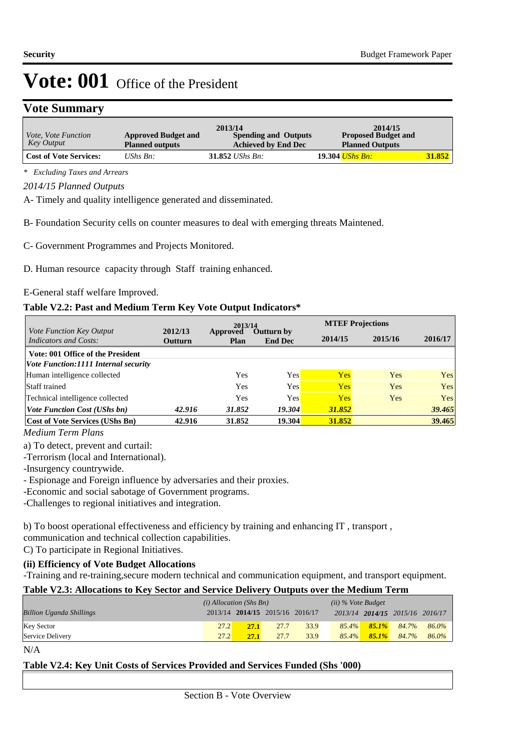### **Vote Summary**

| <i>Vote, Vote Function</i><br>Key Output | <b>Approved Budget and</b><br><b>Planned outputs</b> | 2013/14<br><b>Spending and Outputs</b><br><b>Achieved by End Dec</b> | 2014/15<br><b>Proposed Budget and</b><br><b>Planned Outputs</b> |        |
|------------------------------------------|------------------------------------------------------|----------------------------------------------------------------------|-----------------------------------------------------------------|--------|
| <b>Cost of Vote Services:</b>            | UShs $B_n$ :                                         | 31.852 <i>UShs Bn</i> :                                              | 19.304 <i>UShs Bn:</i>                                          | 31.852 |

*\* Excluding Taxes and Arrears*

*2014/15 Planned Outputs*

A- Timely and quality intelligence generated and disseminated.

B- Foundation Security cells on counter measures to deal with emerging threats Maintened.

C- Government Programmes and Projects Monitored.

D. Human resource capacity through Staff training enhanced.

E-General staff welfare Improved.

#### **Table V2.2: Past and Medium Term Key Vote Output Indicators\***

|                                                   |         | 2013/14<br>2012/13 |                              |            | <b>MTEF Projections</b> |        |  |  |
|---------------------------------------------------|---------|--------------------|------------------------------|------------|-------------------------|--------|--|--|
| Vote Function Key Output<br>Indicators and Costs: | Outturn | Approved<br>Plan   | Outturn by<br><b>End Dec</b> | 2014/15    | 2015/16                 |        |  |  |
| Vote: 001 Office of the President                 |         |                    |                              |            |                         |        |  |  |
| <i>Vote Function:1111 Internal security</i>       |         |                    |                              |            |                         |        |  |  |
| Human intelligence collected                      |         | Yes                | Yes                          | <b>Yes</b> | Yes                     | Yes    |  |  |
| <b>Staff trained</b>                              |         | Yes                | Yes                          | Yes        | Yes                     | Yes    |  |  |
| Technical intelligence collected                  |         | Yes                | Yes                          | <b>Yes</b> | <b>Yes</b>              | Yes    |  |  |
| <i>Vote Function Cost (UShs bn)</i>               | 42.916  | 31.852             | <b>19.304</b>                | 31.852     |                         | 39.465 |  |  |
| <b>Cost of Vote Services (UShs Bn)</b>            | 42.916  | 31.852             | 19.304                       | 31.852     |                         | 39.465 |  |  |

*Medium Term Plans*

a) To detect, prevent and curtail:

-Terrorism (local and International).

-Insurgency countrywide.

- Espionage and Foreign influence by adversaries and their proxies.

-Economic and social sabotage of Government programs.

-Challenges to regional initiatives and integration.

b) To boost operational effectiveness and efficiency by training and enhancing IT , transport , communication and technical collection capabilities.

C) To participate in Regional Initiatives.

**(ii) Efficiency of Vote Budget Allocations**

-Training and re-training,secure modern technical and communication equipment, and transport equipment.

#### **Table V2.3: Allocations to Key Sector and Service Delivery Outputs over the Medium Term**

|                                 | $(i)$ Allocation (Shs Bn) |      |                                 | $(ii)$ % Vote Budget |          |          |                                 |       |
|---------------------------------|---------------------------|------|---------------------------------|----------------------|----------|----------|---------------------------------|-------|
| <b>Billion Uganda Shillings</b> |                           |      | 2013/14 2014/15 2015/16 2016/17 |                      |          |          | 2013/14 2014/15 2015/16 2016/17 |       |
| <b>Key Sector</b>               | 27.2                      | 27.1 | 27.7                            | 33.9                 | $85.4\%$ | $85.1\%$ | 84.7%                           | 86.0% |
| Service Delivery                | 27.2                      | 27.1 | 27.7                            | 33.9                 | $85.4\%$ | $85.1\%$ | 84.7%                           | 86.0% |

N/A

#### **Table V2.4: Key Unit Costs of Services Provided and Services Funded (Shs '000)**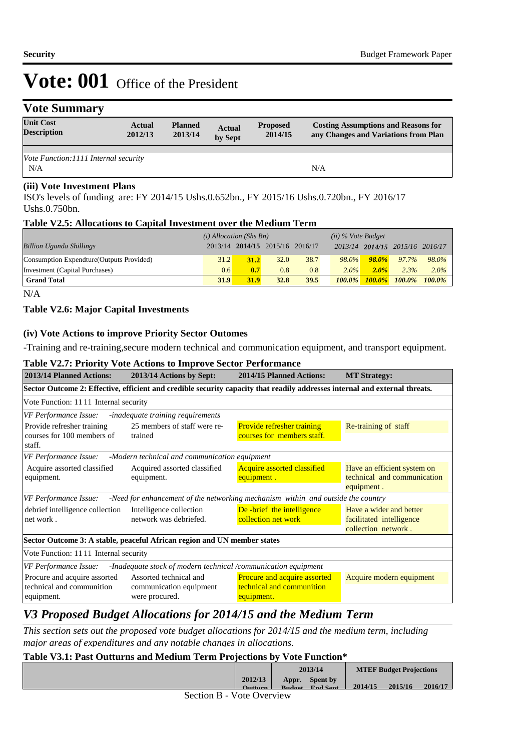| <b>Vote Summary</b>                    |                          |                           |                          |                            |                                                                                    |
|----------------------------------------|--------------------------|---------------------------|--------------------------|----------------------------|------------------------------------------------------------------------------------|
| <b>Unit Cost</b><br><b>Description</b> | <b>Actual</b><br>2012/13 | <b>Planned</b><br>2013/14 | <b>Actual</b><br>by Sept | <b>Proposed</b><br>2014/15 | <b>Costing Assumptions and Reasons for</b><br>any Changes and Variations from Plan |
|                                        |                          |                           |                          |                            |                                                                                    |
| Vote Function: 1111 Internal security  |                          |                           |                          |                            |                                                                                    |
| N/A                                    |                          |                           |                          |                            | N/A                                                                                |
|                                        |                          |                           |                          |                            |                                                                                    |

#### **(iii) Vote Investment Plans**

ISO's levels of funding are: FY 2014/15 Ushs.0.652bn., FY 2015/16 Ushs.0.720bn., FY 2016/17 Ushs.0.750bn.

#### **Table V2.5: Allocations to Capital Investment over the Medium Term**

|                                           | $(i)$ Allocation (Shs Bn) |      |                                 |      | $(ii)$ % Vote Budget |           |                                 |           |
|-------------------------------------------|---------------------------|------|---------------------------------|------|----------------------|-----------|---------------------------------|-----------|
| <b>Billion Uganda Shillings</b>           |                           |      | 2013/14 2014/15 2015/16 2016/17 |      |                      |           | 2013/14 2014/15 2015/16 2016/17 |           |
| Consumption Expendture (Outputs Provided) | 31.2                      | 31.2 | 32.0                            | 38.7 | $98.0\%$             | $98.0\%$  | 97.7%                           | 98.0%     |
| Investment (Capital Purchases)            | 0.6                       | 0.7  | 0.8                             | 0.8  | $2.0\%$              | $2.0\%$   | 2.3%                            | $2.0\%$   |
| <b>Grand Total</b>                        | 31.9                      | 31.9 | 32.8                            | 39.5 | $100.0\%$            | $100.0\%$ | $100.0\%$                       | $100.0\%$ |

N/A

#### **Table V2.6: Major Capital Investments**

#### **(iv) Vote Actions to improve Priority Sector Outomes**

-Training and re-training,secure modern technical and communication equipment, and transport equipment.

#### **Table V2.7: Priority Vote Actions to Improve Sector Performance**

| 2013/14 Planned Actions:              | 2013/14 Actions by Sept:                                                 | 2014/15 Planned Actions:                                                                                                    | <b>MT Strategy:</b>         |
|---------------------------------------|--------------------------------------------------------------------------|-----------------------------------------------------------------------------------------------------------------------------|-----------------------------|
|                                       |                                                                          | Sector Outcome 2: Effective, efficient and credible security capacity that readily addresses internal and external threats. |                             |
| Vote Function: 1111 Internal security |                                                                          |                                                                                                                             |                             |
| VF Performance Issue:                 | -inadequate training requirements                                        |                                                                                                                             |                             |
| Provide refresher training            | 25 members of staff were re-                                             | <b>Provide refresher training</b>                                                                                           | Re-training of staff        |
| courses for 100 members of            | trained                                                                  | courses for members staff.                                                                                                  |                             |
| staff.                                |                                                                          |                                                                                                                             |                             |
| VF Performance Issue:                 | -Modern technical and communication equipment                            |                                                                                                                             |                             |
| Acquire assorted classified           | Acquired assorted classified                                             | <b>Acquire assorted classified</b>                                                                                          | Have an efficient system on |
| equipment.                            | equipment.                                                               | equipment.                                                                                                                  | technical and communication |
|                                       |                                                                          |                                                                                                                             | equipment.                  |
| VF Performance Issue:                 |                                                                          | -Need for enhancement of the networking mechanism within and outside the country                                            |                             |
| debrief intelligence collection       | Intelligence collection                                                  | De -brief the intelligence                                                                                                  | Have a wider and better     |
| net work.                             | network was debriefed.                                                   | collection net work                                                                                                         | facilitated intelligence    |
|                                       |                                                                          |                                                                                                                             | collection network.         |
|                                       | Sector Outcome 3: A stable, peaceful African region and UN member states |                                                                                                                             |                             |
| Vote Function: 1111 Internal security |                                                                          |                                                                                                                             |                             |
| <b>VF Performance Issue:</b>          | -Inadequate stock of modern technical /communication equipment           |                                                                                                                             |                             |
| Procure and acquire assorted          | Assorted technical and                                                   | Procure and acquire assorted                                                                                                | Acquire modern equipment    |
| technical and communition             | communication equipment                                                  | technical and communition                                                                                                   |                             |
| equipment.                            | were procured.                                                           | equipment.                                                                                                                  |                             |

# *V3 Proposed Budget Allocations for 2014/15 and the Medium Term*

*This section sets out the proposed vote budget allocations for 2014/15 and the medium term, including major areas of expenditures and any notable changes in allocations.* 

#### **Table V3.1: Past Outturns and Medium Term Projections by Vote Function\***

|              |              | 2013/14                |         | <b>MTEF Budget Projections</b> |         |
|--------------|--------------|------------------------|---------|--------------------------------|---------|
|              | 2012/13      | Appr. Spent by         |         |                                |         |
|              | $Q_{\rm u}$  | <b>Rudget End Sept</b> | 2014/15 | 2015/16                        | 2016/17 |
| <sup>T</sup> | $\mathbf{v}$ |                        |         |                                |         |

Section B - Vote Overview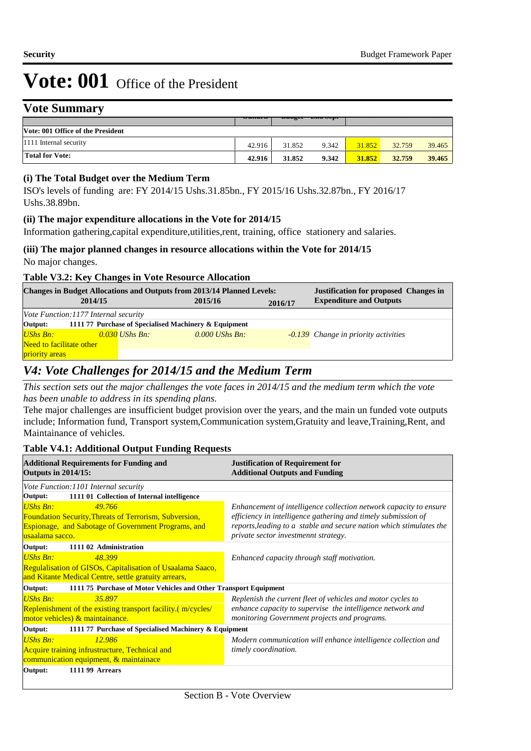### **Vote Summary**

|                                   | $\sigma$ utturn | $Du$ ugu | <b>LARGE</b> |        |        |        |
|-----------------------------------|-----------------|----------|--------------|--------|--------|--------|
| Vote: 001 Office of the President |                 |          |              |        |        |        |
| 1111 Internal security            | 42.916          | 31.852   | 9.342        | 31.852 | 32.759 | 39.465 |
| <b>Total for Vote:</b>            | 42.916          | 31.852   | 9.342        | 31.852 | 32.759 | 39.465 |

#### **(i) The Total Budget over the Medium Term**

ISO's levels of funding are: FY 2014/15 Ushs.31.85bn., FY 2015/16 Ushs.32.87bn., FY 2016/17 Ushs.38.89bn.

#### **(ii) The major expenditure allocations in the Vote for 2014/15**

Information gathering,capital expenditure,utilities,rent, training, office stationery and salaries.

#### **(iii) The major planned changes in resource allocations within the Vote for 2014/15** No major changes.

#### **Table V3.2: Key Changes in Vote Resource Allocation**

| <b>Changes in Budget Allocations and Outputs from 2013/14 Planned Levels:</b><br><b>Justification for proposed Changes in</b> |  |                  |         |                  |         |                                             |  |  |  |
|-------------------------------------------------------------------------------------------------------------------------------|--|------------------|---------|------------------|---------|---------------------------------------------|--|--|--|
| 2014/15                                                                                                                       |  |                  | 2015/16 |                  | 2016/17 | <b>Expenditure and Outputs</b>              |  |  |  |
| Vote Function: 1177 Internal security                                                                                         |  |                  |         |                  |         |                                             |  |  |  |
| Output:<br>1111 77 Purchase of Specialised Machinery & Equipment                                                              |  |                  |         |                  |         |                                             |  |  |  |
| $USh$ s Bn:                                                                                                                   |  | $0.030$ UShs Bn: |         | $0.000$ UShs Bn: |         | <b>-0.139</b> Change in priority activities |  |  |  |
| Need to facilitate other                                                                                                      |  |                  |         |                  |         |                                             |  |  |  |
| <i><u><b>priority</b></u></i> areas                                                                                           |  |                  |         |                  |         |                                             |  |  |  |

# *V4: Vote Challenges for 2014/15 and the Medium Term*

*This section sets out the major challenges the vote faces in 2014/15 and the medium term which the vote has been unable to address in its spending plans.*

 Tehe major challenges are insufficient budget provision over the years, and the main un funded vote outputs include; Information fund, Transport system,Communication system,Gratuity and leave,Training,Rent, and Maintainance of vehicles.

#### **Table V4.1: Additional Output Funding Requests**

| <b>Additional Requirements for Funding and</b><br><b>Outputs in 2014/15:</b>                                                                                                | <b>Justification of Requirement for</b><br><b>Additional Outputs and Funding</b>                                                                                                                                                                  |  |  |  |  |  |
|-----------------------------------------------------------------------------------------------------------------------------------------------------------------------------|---------------------------------------------------------------------------------------------------------------------------------------------------------------------------------------------------------------------------------------------------|--|--|--|--|--|
| Vote Function: 1101 Internal security                                                                                                                                       |                                                                                                                                                                                                                                                   |  |  |  |  |  |
| 1111 01 Collection of Internal intelligence<br>Output:                                                                                                                      |                                                                                                                                                                                                                                                   |  |  |  |  |  |
| <b>UShs Bn:</b><br>49.766<br><b>Foundation Security, Threats of Terrorism, Subversion,</b><br><b>Espionage, and Sabotage of Government Programs, and</b><br>usaalama sacco. | Enhancement of intelligence collection network capacity to ensure<br>efficiency in intelligence gathering and timely submission of<br>reports, leading to a stable and secure nation which stimulates the<br>private sector investmennt strategy. |  |  |  |  |  |
| Output:<br>1111 02 Administration                                                                                                                                           |                                                                                                                                                                                                                                                   |  |  |  |  |  |
| UShs Bn:<br>48.399<br>Regulalisation of GISOs, Capitalisation of Usaalama Saaco,                                                                                            | Enhanced capacity through staff motivation.                                                                                                                                                                                                       |  |  |  |  |  |
| and Kitante Medical Centre, settle gratuity arrears,                                                                                                                        |                                                                                                                                                                                                                                                   |  |  |  |  |  |
| Output:<br>111175 Purchase of Motor Vehicles and Other Transport Equipment                                                                                                  |                                                                                                                                                                                                                                                   |  |  |  |  |  |
| <b>UShs Bn:</b><br>35.897<br>Replenishment of the existing transport facility (m/cycles/<br>motor vehicles) & maintainance.                                                 | Replenish the current fleet of vehicles and motor cycles to<br>enhance capacity to supervise the intelligence network and<br>monitoring Government projects and programs.                                                                         |  |  |  |  |  |
| Output:<br>1111 77 Purchase of Specialised Machinery & Equipment                                                                                                            |                                                                                                                                                                                                                                                   |  |  |  |  |  |
| UShs Bn:<br>12.986<br>Acquire training infrustructure, Technical and<br>communication equipment, & maintainace                                                              | Modern communication will enhance intelligence collection and<br>timely coordination.                                                                                                                                                             |  |  |  |  |  |
| <b>1111 99 Arrears</b><br>Output:                                                                                                                                           |                                                                                                                                                                                                                                                   |  |  |  |  |  |